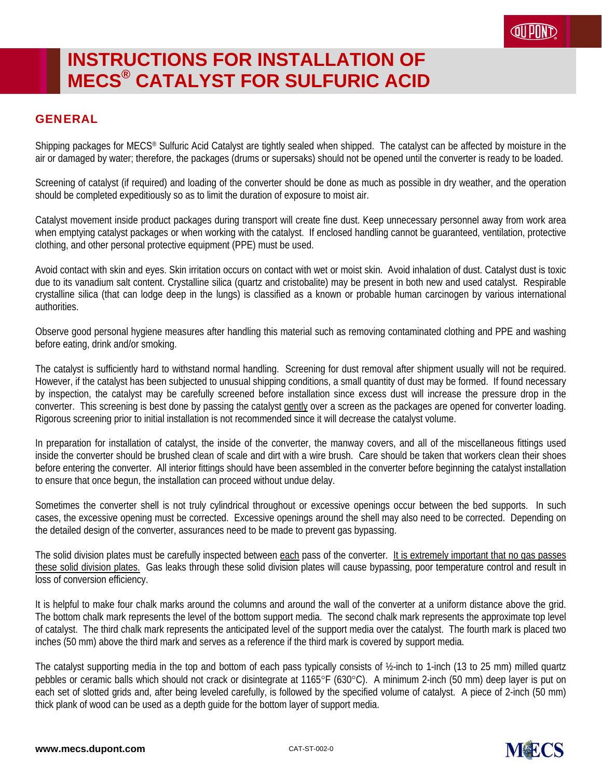# **INSTRUCTIONS FOR INSTALLATION OF MECS® CATALYST FOR SULFURIC ACID**

#### GENERAL

Shipping packages for MECS® Sulfuric Acid Catalyst are tightly sealed when shipped. The catalyst can be affected by moisture in the air or damaged by water; therefore, the packages (drums or supersaks) should not be opened until the converter is ready to be loaded.

Screening of catalyst (if required) and loading of the converter should be done as much as possible in dry weather, and the operation should be completed expeditiously so as to limit the duration of exposure to moist air.

Catalyst movement inside product packages during transport will create fine dust. Keep unnecessary personnel away from work area when emptying catalyst packages or when working with the catalyst. If enclosed handling cannot be guaranteed, ventilation, protective clothing, and other personal protective equipment (PPE) must be used.

Avoid contact with skin and eyes. Skin irritation occurs on contact with wet or moist skin. Avoid inhalation of dust. Catalyst dust is toxic due to its vanadium salt content. Crystalline silica (quartz and cristobalite) may be present in both new and used catalyst. Respirable crystalline silica (that can lodge deep in the lungs) is classified as a known or probable human carcinogen by various international authorities.

Observe good personal hygiene measures after handling this material such as removing contaminated clothing and PPE and washing before eating, drink and/or smoking.

The catalyst is sufficiently hard to withstand normal handling. Screening for dust removal after shipment usually will not be required. However, if the catalyst has been subjected to unusual shipping conditions, a small quantity of dust may be formed. If found necessary by inspection, the catalyst may be carefully screened before installation since excess dust will increase the pressure drop in the converter. This screening is best done by passing the catalyst gently over a screen as the packages are opened for converter loading. Rigorous screening prior to initial installation is not recommended since it will decrease the catalyst volume.

In preparation for installation of catalyst, the inside of the converter, the manway covers, and all of the miscellaneous fittings used inside the converter should be brushed clean of scale and dirt with a wire brush. Care should be taken that workers clean their shoes before entering the converter. All interior fittings should have been assembled in the converter before beginning the catalyst installation to ensure that once begun, the installation can proceed without undue delay.

Sometimes the converter shell is not truly cylindrical throughout or excessive openings occur between the bed supports. In such cases, the excessive opening must be corrected. Excessive openings around the shell may also need to be corrected. Depending on the detailed design of the converter, assurances need to be made to prevent gas bypassing.

The solid division plates must be carefully inspected between each pass of the converter. It is extremely important that no gas passes these solid division plates. Gas leaks through these solid division plates will cause bypassing, poor temperature control and result in loss of conversion efficiency.

It is helpful to make four chalk marks around the columns and around the wall of the converter at a uniform distance above the grid. The bottom chalk mark represents the level of the bottom support media. The second chalk mark represents the approximate top level of catalyst. The third chalk mark represents the anticipated level of the support media over the catalyst. The fourth mark is placed two inches (50 mm) above the third mark and serves as a reference if the third mark is covered by support media.

The catalyst supporting media in the top and bottom of each pass typically consists of ½-inch to 1-inch (13 to 25 mm) milled quartz pebbles or ceramic balls which should not crack or disintegrate at 1165°F (630°C). A minimum 2-inch (50 mm) deep layer is put on each set of slotted grids and, after being leveled carefully, is followed by the specified volume of catalyst. A piece of 2-inch (50 mm) thick plank of wood can be used as a depth guide for the bottom layer of support media.

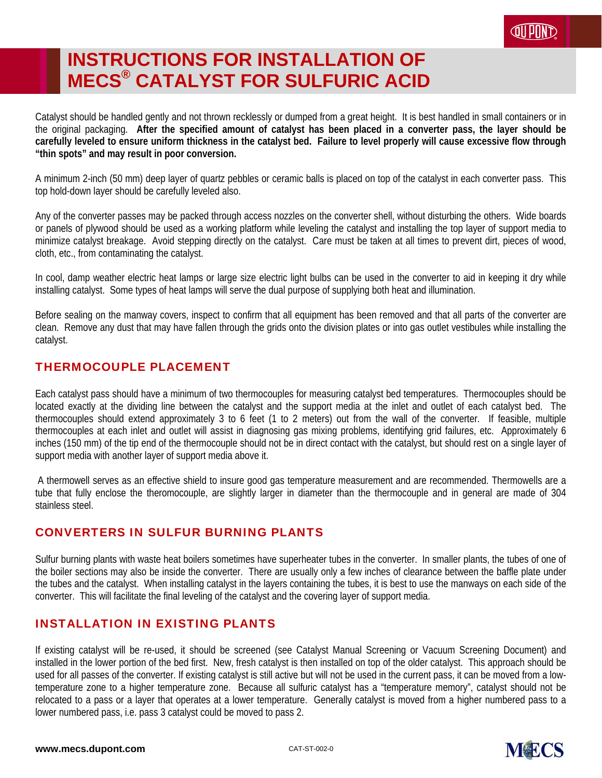## **INSTRUCTIONS FOR INSTALLATION OF MECS® CATALYST FOR SULFURIC ACID**

Catalyst should be handled gently and not thrown recklessly or dumped from a great height. It is best handled in small containers or in the original packaging. **After the specified amount of catalyst has been placed in a converter pass, the layer should be carefully leveled to ensure uniform thickness in the catalyst bed. Failure to level properly will cause excessive flow through "thin spots" and may result in poor conversion.**

A minimum 2-inch (50 mm) deep layer of quartz pebbles or ceramic balls is placed on top of the catalyst in each converter pass. This top hold-down layer should be carefully leveled also.

Any of the converter passes may be packed through access nozzles on the converter shell, without disturbing the others. Wide boards or panels of plywood should be used as a working platform while leveling the catalyst and installing the top layer of support media to minimize catalyst breakage. Avoid stepping directly on the catalyst. Care must be taken at all times to prevent dirt, pieces of wood, cloth, etc., from contaminating the catalyst.

In cool, damp weather electric heat lamps or large size electric light bulbs can be used in the converter to aid in keeping it dry while installing catalyst. Some types of heat lamps will serve the dual purpose of supplying both heat and illumination.

Before sealing on the manway covers, inspect to confirm that all equipment has been removed and that all parts of the converter are clean. Remove any dust that may have fallen through the grids onto the division plates or into gas outlet vestibules while installing the catalyst.

### THERMOCOUPLE PLACEMENT

Each catalyst pass should have a minimum of two thermocouples for measuring catalyst bed temperatures. Thermocouples should be located exactly at the dividing line between the catalyst and the support media at the inlet and outlet of each catalyst bed. The thermocouples should extend approximately 3 to 6 feet (1 to 2 meters) out from the wall of the converter. If feasible, multiple thermocouples at each inlet and outlet will assist in diagnosing gas mixing problems, identifying grid failures, etc. Approximately 6 inches (150 mm) of the tip end of the thermocouple should not be in direct contact with the catalyst, but should rest on a single layer of support media with another layer of support media above it.

 A thermowell serves as an effective shield to insure good gas temperature measurement and are recommended. Thermowells are a tube that fully enclose the theromocouple, are slightly larger in diameter than the thermocouple and in general are made of 304 stainless steel.

### CONVERTERS IN SULFUR BURNING PLANTS

Sulfur burning plants with waste heat boilers sometimes have superheater tubes in the converter. In smaller plants, the tubes of one of the boiler sections may also be inside the converter. There are usually only a few inches of clearance between the baffle plate under the tubes and the catalyst. When installing catalyst in the layers containing the tubes, it is best to use the manways on each side of the converter. This will facilitate the final leveling of the catalyst and the covering layer of support media.

#### INSTALLATION IN EXISTING PLANTS

If existing catalyst will be re-used, it should be screened (see Catalyst Manual Screening or Vacuum Screening Document) and installed in the lower portion of the bed first. New, fresh catalyst is then installed on top of the older catalyst. This approach should be used for all passes of the converter. If existing catalyst is still active but will not be used in the current pass, it can be moved from a lowtemperature zone to a higher temperature zone. Because all sulfuric catalyst has a "temperature memory", catalyst should not be relocated to a pass or a layer that operates at a lower temperature. Generally catalyst is moved from a higher numbered pass to a lower numbered pass, i.e. pass 3 catalyst could be moved to pass 2.